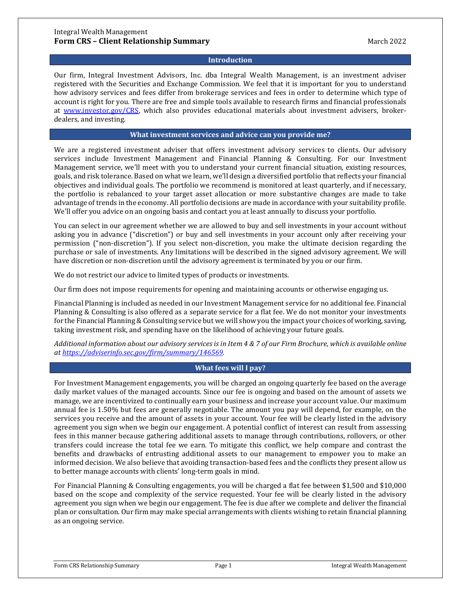### **Introduction**

Our firm, Integral Investment Advisors, Inc. dba Integral Wealth Management, is an investment adviser registered with the Securities and Exchange Commission. We feel that it is important for you to understand how advisory services and fees differ from brokerage services and fees in order to determine which type of account is right for you. There are free and simple tools available to research firms and financial professionals at [www.investor.gov/CRS,](http://www.investor.gov/CRS) which also provides educational materials about investment advisers, brokerdealers, and investing.

## **What investment services and advice can you provide me?**

We are a registered investment adviser that offers investment advisory services to clients. Our advisory services include Investment Management and Financial Planning & Consulting. For our Investment Management service, we'll meet with you to understand your current financial situation, existing resources, goals, and risk tolerance. Based on what we learn, we'll design a diversified portfolio that reflects your financial objectives and individual goals. The portfolio we recommend is monitored at least quarterly, and if necessary, the portfolio is rebalanced to your target asset allocation or more substantive changes are made to take advantage of trends in the economy. All portfolio decisions are made in accordance with your suitability profile. We'll offer you advice on an ongoing basis and contact you at least annually to discuss your portfolio.

You can select in our agreement whether we are allowed to buy and sell investments in your account without asking you in advance ("discretion") or buy and sell investments in your account only after receiving your permission ("non-discretion"). If you select non-discretion, you make the ultimate decision regarding the purchase or sale of investments. Any limitations will be described in the signed advisory agreement. We will have discretion or non-discretion until the advisory agreement is terminated by you or our firm.

We do not restrict our advice to limited types of products or investments.

Our firm does not impose requirements for opening and maintaining accounts or otherwise engaging us.

Financial Planning is included as needed in our Investment Management service for no additional fee. Financial Planning & Consulting is also offered as a separate service for a flat fee. We do not monitor your investments for the Financial Planning & Consulting service but we will show you the impact your choices of working, saving, taking investment risk, and spending have on the likelihood of achieving your future goals.

*Additional information about our advisory services is in Item 4 & 7 of our Firm Brochure, which is available online at [https://adviserinfo.sec.gov/firm/summary/146569.](https://adviserinfo.sec.gov/firm/summary/146569)*

## **What fees will I pay?**

For Investment Management engagements, you will be charged an ongoing quarterly fee based on the average daily market values of the managed accounts. Since our fee is ongoing and based on the amount of assets we manage, we are incentivized to continually earn your business and increase your account value. Our maximum annual fee is 1.50% but fees are generally negotiable. The amount you pay will depend, for example, on the services you receive and the amount of assets in your account. Your fee will be clearly listed in the advisory agreement you sign when we begin our engagement. A potential conflict of interest can result from assessing fees in this manner because gathering additional assets to manage through contributions, rollovers, or other transfers could increase the total fee we earn. To mitigate this conflict, we help compare and contrast the benefits and drawbacks of entrusting additional assets to our management to empower you to make an informed decision. We also believe that avoiding transaction-based fees and the conflicts they present allow us to better manage accounts with clients' long-term goals in mind.

For Financial Planning & Consulting engagements, you will be charged a flat fee between \$1,500 and \$10,000 based on the scope and complexity of the service requested. Your fee will be clearly listed in the advisory agreement you sign when we begin our engagement. The fee is due after we complete and deliver the financial plan or consultation. Our firm may make special arrangements with clients wishing to retain financial planning as an ongoing service.